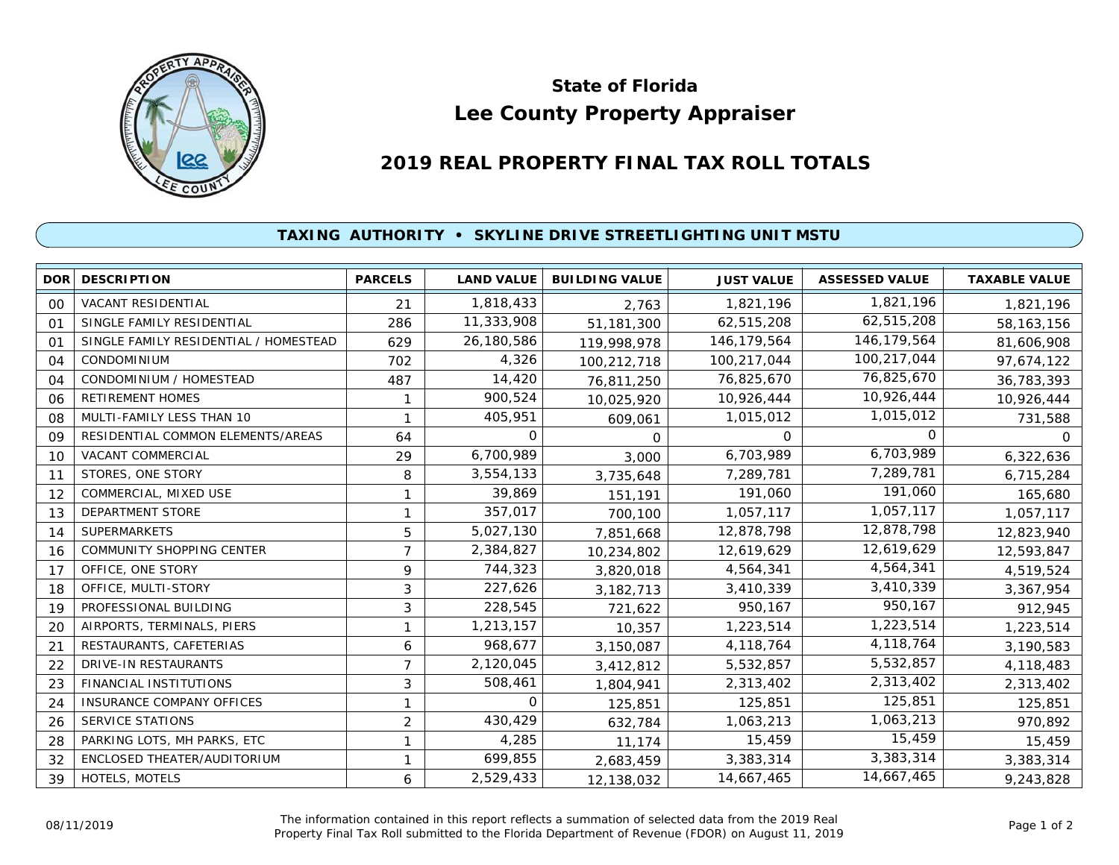

## **Lee County Property Appraiser State of Florida**

## **2019 REAL PROPERTY FINAL TAX ROLL TOTALS**

## **TAXING AUTHORITY • SKYLINE DRIVE STREETLIGHTING UNIT MSTU**

| DOR            | <b>DESCRIPTION</b>                    | <b>PARCELS</b> | <b>LAND VALUE</b> | <b>BUILDING VALUE</b> | <b>JUST VALUE</b> | <b>ASSESSED VALUE</b> | <b>TAXABLE VALUE</b> |
|----------------|---------------------------------------|----------------|-------------------|-----------------------|-------------------|-----------------------|----------------------|
| 00             | <b>VACANT RESIDENTIAL</b>             | 21             | 1,818,433         | 2,763                 | 1,821,196         | 1,821,196             | 1,821,196            |
| $^{\circ}$     | SINGLE FAMILY RESIDENTIAL             | 286            | 11,333,908        | 51,181,300            | 62,515,208        | 62,515,208            | 58, 163, 156         |
| O <sub>1</sub> | SINGLE FAMILY RESIDENTIAL / HOMESTEAD | 629            | 26,180,586        | 119,998,978           | 146, 179, 564     | 146, 179, 564         | 81,606,908           |
| 04             | CONDOMINIUM                           | 702            | 4,326             | 100,212,718           | 100,217,044       | 100,217,044           | 97,674,122           |
| 04             | CONDOMINIUM / HOMESTEAD               | 487            | 14,420            | 76,811,250            | 76,825,670        | 76,825,670            | 36,783,393           |
| 06             | <b>RETIREMENT HOMES</b>               |                | 900,524           | 10,025,920            | 10,926,444        | 10,926,444            | 10,926,444           |
| 08             | MULTI-FAMILY LESS THAN 10             |                | 405,951           | 609,061               | 1,015,012         | 1,015,012             | 731,588              |
| 09             | RESIDENTIAL COMMON ELEMENTS/AREAS     | 64             | $\Omega$          | 0                     | 0                 | $\Omega$              | 0                    |
| 10             | VACANT COMMERCIAL                     | 29             | 6,700,989         | 3,000                 | 6,703,989         | 6,703,989             | 6,322,636            |
| 11             | STORES, ONE STORY                     | 8              | 3,554,133         | 3,735,648             | 7,289,781         | 7,289,781             | 6,715,284            |
| 12             | COMMERCIAL, MIXED USE                 |                | 39,869            | 151,191               | 191,060           | 191,060               | 165,680              |
| 13             | DEPARTMENT STORE                      |                | 357,017           | 700,100               | 1,057,117         | 1,057,117             | 1,057,117            |
| 14             | <b>SUPERMARKETS</b>                   | 5              | 5,027,130         | 7,851,668             | 12,878,798        | 12,878,798            | 12,823,940           |
| 16             | <b>COMMUNITY SHOPPING CENTER</b>      | $\overline{7}$ | 2,384,827         | 10,234,802            | 12,619,629        | 12,619,629            | 12,593,847           |
| 17             | OFFICE, ONE STORY                     | 9              | 744,323           | 3,820,018             | 4,564,341         | 4,564,341             | 4,519,524            |
| 18             | OFFICE, MULTI-STORY                   | 3              | 227,626           | 3,182,713             | 3,410,339         | 3,410,339             | 3,367,954            |
| 19             | PROFESSIONAL BUILDING                 | 3              | 228,545           | 721,622               | 950,167           | 950,167               | 912,945              |
| 20             | AIRPORTS, TERMINALS, PIERS            | 1              | 1,213,157         | 10,357                | 1,223,514         | 1,223,514             | 1,223,514            |
| 21             | RESTAURANTS, CAFETERIAS               | 6              | 968,677           | 3,150,087             | 4,118,764         | 4,118,764             | 3,190,583            |
| 22             | DRIVE-IN RESTAURANTS                  | 7              | 2,120,045         | 3,412,812             | 5,532,857         | 5,532,857             | 4,118,483            |
| 23             | FINANCIAL INSTITUTIONS                | 3              | 508,461           | 1,804,941             | 2,313,402         | 2,313,402             | 2,313,402            |
| 24             | <b>INSURANCE COMPANY OFFICES</b>      |                | $\Omega$          | 125,851               | 125,851           | 125,851               | 125,851              |
| 26             | <b>SERVICE STATIONS</b>               | $\overline{2}$ | 430,429           | 632,784               | 1,063,213         | 1,063,213             | 970,892              |
| 28             | PARKING LOTS, MH PARKS, ETC           | 1              | 4,285             | 11,174                | 15,459            | 15,459                | 15,459               |
| 32             | ENCLOSED THEATER/AUDITORIUM           |                | 699,855           | 2,683,459             | 3,383,314         | 3,383,314             | 3,383,314            |
| 39             | HOTELS, MOTELS                        | 6              | 2,529,433         | 12,138,032            | 14,667,465        | 14,667,465            | 9,243,828            |